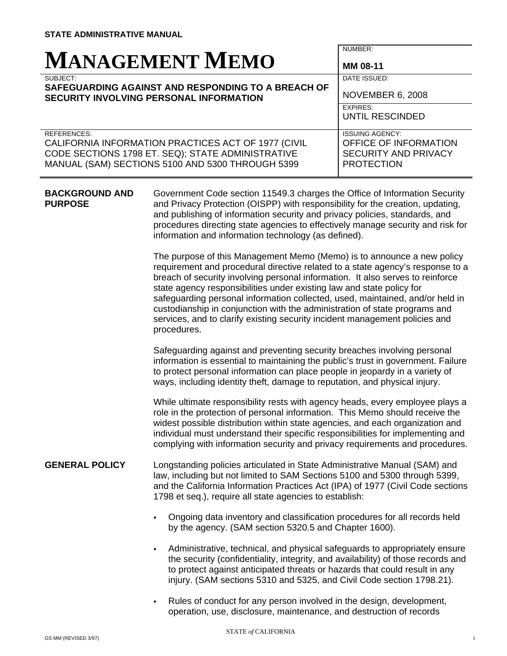| <b>MANAGEMENT MEMO</b>                                                                                                                                                             | NUMBER:<br>MM 08-11                                                                                 |
|------------------------------------------------------------------------------------------------------------------------------------------------------------------------------------|-----------------------------------------------------------------------------------------------------|
| SUBJECT:<br>SAFEGUARDING AGAINST AND RESPONDING TO A BREACH OF<br><b>SECURITY INVOLVING PERSONAL INFORMATION</b>                                                                   | DATE ISSUED:<br><b>NOVEMBER 6, 2008</b>                                                             |
|                                                                                                                                                                                    | <b>EXPIRES:</b><br>UNTIL RESCINDED                                                                  |
| <b>REFERENCES:</b><br>CALIFORNIA INFORMATION PRACTICES ACT OF 1977 (CIVIL<br>CODE SECTIONS 1798 ET. SEQ); STATE ADMINISTRATIVE<br>MANUAL (SAM) SECTIONS 5100 AND 5300 THROUGH 5399 | <b>ISSUING AGENCY:</b><br>OFFICE OF INFORMATION<br><b>SECURITY AND PRIVACY</b><br><b>PROTECTION</b> |

**BACKGROUND AND PURPOSE**  Government Code section 11549.3 charges the Office of Information Security and Privacy Protection (OISPP) with responsibility for the creation, updating, and publishing of information security and privacy policies, standards, and procedures directing state agencies to effectively manage security and risk for information and information technology (as defined).

> The purpose of this Management Memo (Memo) is to announce a new policy requirement and procedural directive related to a state agency's response to a breach of security involving personal information. It also serves to reinforce state agency responsibilities under existing law and state policy for safeguarding personal information collected, used, maintained, and/or held in custodianship in conjunction with the administration of state programs and services, and to clarify existing security incident management policies and procedures.

> Safeguarding against and preventing security breaches involving personal information is essential to maintaining the public's trust in government. Failure to protect personal information can place people in jeopardy in a variety of ways, including identity theft, damage to reputation, and physical injury.

> While ultimate responsibility rests with agency heads, every employee plays a role in the protection of personal information. This Memo should receive the widest possible distribution within state agencies, and each organization and individual must understand their specific responsibilities for implementing and complying with information security and privacy requirements and procedures.

## Longstanding policies articulated in State Administrative Manual (SAM) and law, including but not limited to SAM Sections 5100 and 5300 through 5399, and the California Information Practices Act (IPA) of 1977 (Civil Code sections 1798 et seq.), require all state agencies to establish: **GENERAL POLICY**

- Ongoing data inventory and classification procedures for all records held by the agency. (SAM section 5320.5 and Chapter 1600).
- Administrative, technical, and physical safeguards to appropriately ensure the security (confidentiality, integrity, and availability) of those records and to protect against anticipated threats or hazards that could result in any injury. (SAM sections 5310 and 5325, and Civil Code section 1798.21).
- Rules of conduct for any person involved in the design, development, operation, use, disclosure, maintenance, and destruction of records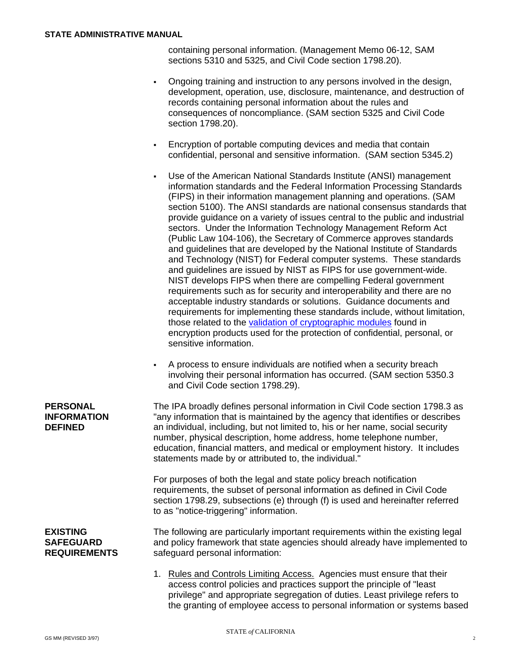containing personal information. (Management Memo 06-12, SAM sections 5310 and 5325, and Civil Code section 1798.20).

- Ongoing training and instruction to any persons involved in the design, development, operation, use, disclosure, maintenance, and destruction of records containing personal information about the rules and consequences of noncompliance. (SAM section 5325 and Civil Code section 1798.20).
- Encryption of portable computing devices and media that contain confidential, personal and sensitive information. (SAM section 5345.2)
- Use of the American National Standards Institute (ANSI) management information standards and the Federal Information Processing Standards (FIPS) in their information management planning and operations. (SAM section 5100). The ANSI standards are national consensus standards that provide guidance on a variety of issues central to the public and industrial sectors. Under the Information Technology Management Reform Act (Public Law 104-106), the Secretary of Commerce approves standards and guidelines that are developed by the National Institute of Standards and Technology (NIST) for Federal computer systems. These standards and guidelines are issued by NIST as FIPS for use government-wide. NIST develops FIPS when there are compelling Federal government requirements such as for security and interoperability and there are no acceptable industry standards or solutions. Guidance documents and requirements for implementing these standards include, without limitation, those related to the [validation of cryptographic modules](http://csrc.nist.gov/groups/STM/cmvp/documents/140-1/1401val2008.htm) found in encryption products used for the protection of confidential, personal, or sensitive information.
- A process to ensure individuals are notified when a security breach involving their personal information has occurred. (SAM section 5350.3 and Civil Code section 1798.29).

The IPA broadly defines personal information in Civil Code section 1798.3 as "any information that is maintained by the agency that identifies or describes an individual, including, but not limited to, his or her name, social security number, physical description, home address, home telephone number, education, financial matters, and medical or employment history. It includes statements made by or attributed to, the individual."

For purposes of both the legal and state policy breach notification requirements, the subset of personal information as defined in Civil Code section 1798.29, subsections (e) through (f) is used and hereinafter referred to as "notice-triggering" information.

**EXISTING SAFEGUARD REQUIREMENTS** 

**PERSONAL INFORMATION DEFINED** 

> The following are particularly important requirements within the existing legal and policy framework that state agencies should already have implemented to safeguard personal information:

> 1. Rules and Controls Limiting Access. Agencies must ensure that their access control policies and practices support the principle of "least privilege" and appropriate segregation of duties. Least privilege refers to the granting of employee access to personal information or systems based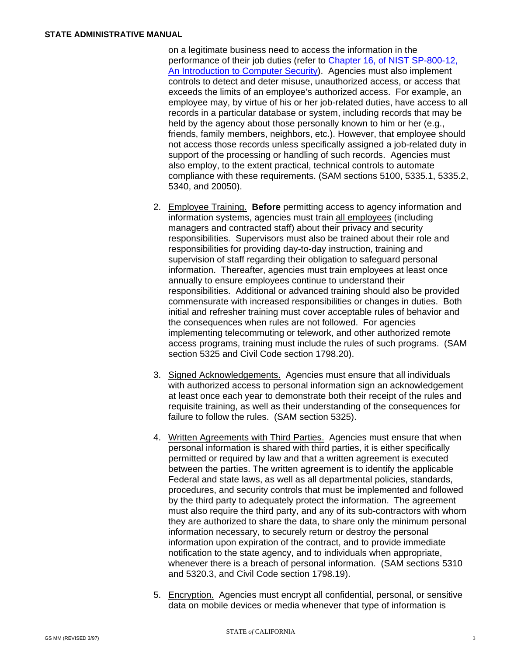on a legitimate business need to access the information in the performance of their job duties (refer to [Chapter 16, of NIST SP-800-12,](http://csrc.nist.gov/publications/nistpubs/800-12/800-12-html/chapter16.html)  [An Introduction to Computer Security\)](http://csrc.nist.gov/publications/nistpubs/800-12/800-12-html/chapter16.html). Agencies must also implement controls to detect and deter misuse, unauthorized access, or access that exceeds the limits of an employee's authorized access. For example, an employee may, by virtue of his or her job-related duties, have access to all records in a particular database or system, including records that may be held by the agency about those personally known to him or her (e.g., friends, family members, neighbors, etc.). However, that employee should not access those records unless specifically assigned a job-related duty in support of the processing or handling of such records. Agencies must also employ, to the extent practical, technical controls to automate compliance with these requirements. (SAM sections 5100, 5335.1, 5335.2, 5340, and 20050).

- 2. Employee Training. **Before** permitting access to agency information and information systems, agencies must train all employees (including managers and contracted staff) about their privacy and security responsibilities. Supervisors must also be trained about their role and responsibilities for providing day-to-day instruction, training and supervision of staff regarding their obligation to safeguard personal information. Thereafter, agencies must train employees at least once annually to ensure employees continue to understand their responsibilities. Additional or advanced training should also be provided commensurate with increased responsibilities or changes in duties. Both initial and refresher training must cover acceptable rules of behavior and the consequences when rules are not followed. For agencies implementing telecommuting or telework, and other authorized remote access programs, training must include the rules of such programs. (SAM section 5325 and Civil Code section 1798.20).
- 3. Signed Acknowledgements. Agencies must ensure that all individuals with authorized access to personal information sign an acknowledgement at least once each year to demonstrate both their receipt of the rules and requisite training, as well as their understanding of the consequences for failure to follow the rules. (SAM section 5325).
- 4. Written Agreements with Third Parties. Agencies must ensure that when personal information is shared with third parties, it is either specifically permitted or required by law and that a written agreement is executed between the parties. The written agreement is to identify the applicable Federal and state laws, as well as all departmental policies, standards, procedures, and security controls that must be implemented and followed by the third party to adequately protect the information. The agreement must also require the third party, and any of its sub-contractors with whom they are authorized to share the data, to share only the minimum personal information necessary, to securely return or destroy the personal information upon expiration of the contract, and to provide immediate notification to the state agency, and to individuals when appropriate, whenever there is a breach of personal information. (SAM sections 5310 and 5320.3, and Civil Code section 1798.19).
- 5. Encryption. Agencies must encrypt all confidential, personal, or sensitive data on mobile devices or media whenever that type of information is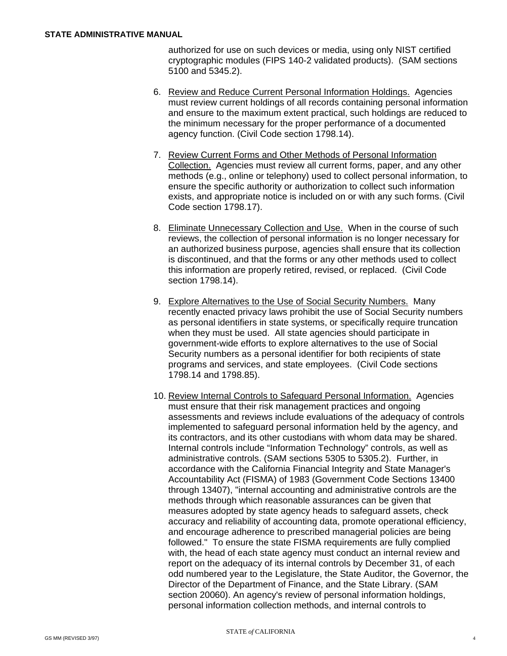authorized for use on such devices or media, using only NIST certified cryptographic modules (FIPS 140-2 validated products). (SAM sections 5100 and 5345.2).

- 6. Review and Reduce Current Personal Information Holdings. Agencies must review current holdings of all records containing personal information and ensure to the maximum extent practical, such holdings are reduced to the minimum necessary for the proper performance of a documented agency function. (Civil Code section 1798.14).
- 7. Review Current Forms and Other Methods of Personal Information Collection. Agencies must review all current forms, paper, and any other methods (e.g., online or telephony) used to collect personal information, to ensure the specific authority or authorization to collect such information exists, and appropriate notice is included on or with any such forms. (Civil Code section 1798.17).
- 8. Eliminate Unnecessary Collection and Use. When in the course of such reviews, the collection of personal information is no longer necessary for an authorized business purpose, agencies shall ensure that its collection is discontinued, and that the forms or any other methods used to collect this information are properly retired, revised, or replaced. (Civil Code section 1798.14).
- 9. Explore Alternatives to the Use of Social Security Numbers. Many recently enacted privacy laws prohibit the use of Social Security numbers as personal identifiers in state systems, or specifically require truncation when they must be used. All state agencies should participate in government-wide efforts to explore alternatives to the use of Social Security numbers as a personal identifier for both recipients of state programs and services, and state employees. (Civil Code sections 1798.14 and 1798.85).
- 10. Review Internal Controls to Safeguard Personal Information. Agencies must ensure that their risk management practices and ongoing assessments and reviews include evaluations of the adequacy of controls implemented to safeguard personal information held by the agency, and its contractors, and its other custodians with whom data may be shared. Internal controls include "Information Technology" controls, as well as administrative controls. (SAM sections 5305 to 5305.2). Further, in accordance with the California Financial Integrity and State Manager's Accountability Act (FISMA) of 1983 (Government Code Sections 13400 through 13407), "internal accounting and administrative controls are the methods through which reasonable assurances can be given that measures adopted by state agency heads to safeguard assets, check accuracy and reliability of accounting data, promote operational efficiency, and encourage adherence to prescribed managerial policies are being followed." To ensure the state FISMA requirements are fully complied with, the head of each state agency must conduct an internal review and report on the adequacy of its internal controls by December 31, of each odd numbered year to the Legislature, the State Auditor, the Governor, the Director of the Department of Finance, and the State Library. (SAM section 20060). An agency's review of personal information holdings, personal information collection methods, and internal controls to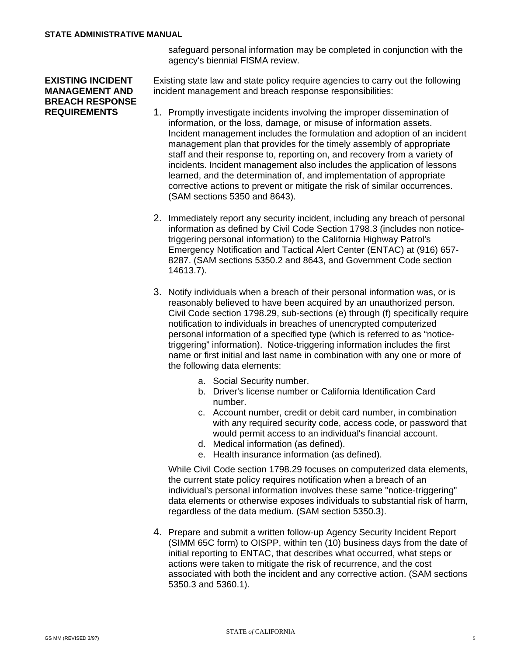safeguard personal information may be completed in conjunction with the agency's biennial FISMA review.

## **EXISTING INCIDENT MANAGEMENT AND BREACH RESPONSE REQUIREMENTS**

Existing state law and state policy require agencies to carry out the following incident management and breach response responsibilities:

- 1. Promptly investigate incidents involving the improper dissemination of information, or the loss, damage, or misuse of information assets. Incident management includes the formulation and adoption of an incident management plan that provides for the timely assembly of appropriate staff and their response to, reporting on, and recovery from a variety of incidents. Incident management also includes the application of lessons learned, and the determination of, and implementation of appropriate corrective actions to prevent or mitigate the risk of similar occurrences. (SAM sections 5350 and 8643).
- 2. Immediately report any security incident, including any breach of personal information as defined by Civil Code Section 1798.3 (includes non noticetriggering personal information) to the California Highway Patrol's Emergency Notification and Tactical Alert Center (ENTAC) at (916) 657- 8287. (SAM sections 5350.2 and 8643, and Government Code section 14613.7).
- 3. Notify individuals when a breach of their personal information was, or is reasonably believed to have been acquired by an unauthorized person. Civil Code section 1798.29, sub-sections (e) through (f) specifically require notification to individuals in breaches of unencrypted computerized personal information of a specified type (which is referred to as "noticetriggering" information). Notice-triggering information includes the first name or first initial and last name in combination with any one or more of the following data elements:
	- a. Social Security number.
	- b. Driver's license number or California Identification Card number.
	- c. Account number, credit or debit card number, in combination with any required security code, access code, or password that would permit access to an individual's financial account.
	- d. Medical information (as defined).
	- e. Health insurance information (as defined).

While Civil Code section 1798.29 focuses on computerized data elements, the current state policy requires notification when a breach of an individual's personal information involves these same "notice-triggering" data elements or otherwise exposes individuals to substantial risk of harm, regardless of the data medium. (SAM section 5350.3).

4. Prepare and submit a written follow-up Agency Security Incident Report (SIMM 65C form) to OISPP, within ten (10) business days from the date of initial reporting to ENTAC, that describes what occurred, what steps or actions were taken to mitigate the risk of recurrence, and the cost associated with both the incident and any corrective action. (SAM sections 5350.3 and 5360.1).